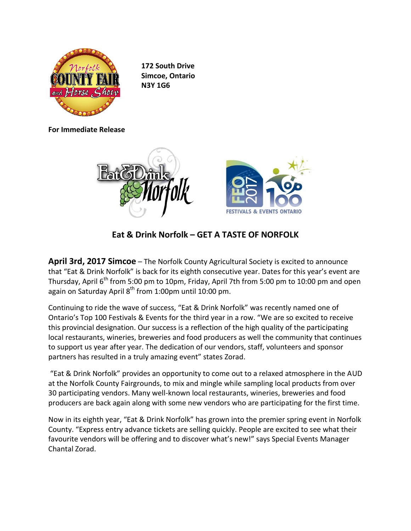

**172 South Drive Simcoe, Ontario N3Y 1G6**

**For Immediate Release**



**Eat & Drink Norfolk – GET A TASTE OF NORFOLK**

**April 3rd, 2017 Simcoe** – The Norfolk County Agricultural Society is excited to announce that "Eat & Drink Norfolk" is back for its eighth consecutive year. Dates for this year's event are Thursday, April 6<sup>th</sup> from 5:00 pm to 10pm, Friday, April 7th from 5:00 pm to 10:00 pm and open again on Saturday April 8<sup>th</sup> from 1:00pm until 10:00 pm.

Continuing to ride the wave of success, "Eat & Drink Norfolk" was recently named one of Ontario's Top 100 Festivals & Events for the third year in a row. "We are so excited to receive this provincial designation. Our success is a reflection of the high quality of the participating local restaurants, wineries, breweries and food producers as well the community that continues to support us year after year. The dedication of our vendors, staff, volunteers and sponsor partners has resulted in a truly amazing event" states Zorad.

"Eat & Drink Norfolk" provides an opportunity to come out to a relaxed atmosphere in the AUD at the Norfolk County Fairgrounds, to mix and mingle while sampling local products from over 30 participating vendors. Many well-known local restaurants, wineries, breweries and food producers are back again along with some new vendors who are participating for the first time.

Now in its eighth year, "Eat & Drink Norfolk" has grown into the premier spring event in Norfolk County. "Express entry advance tickets are selling quickly. People are excited to see what their favourite vendors will be offering and to discover what's new!" says Special Events Manager Chantal Zorad.